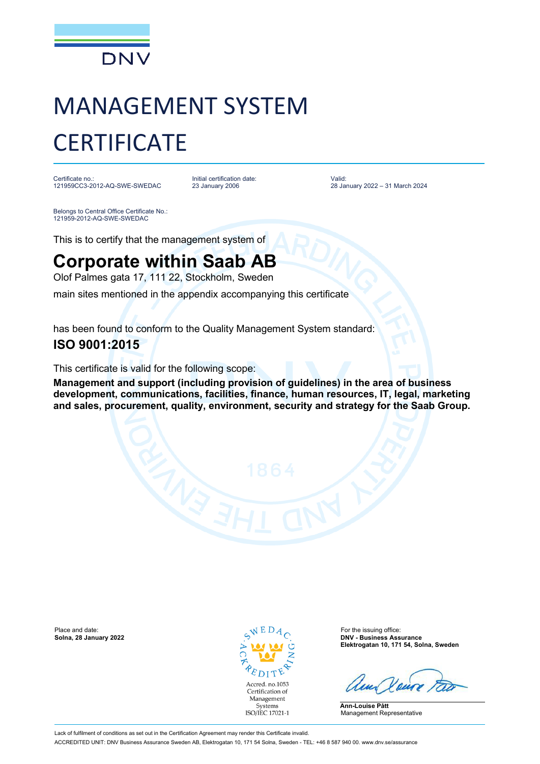

# MANAGEMENT SYSTEM **CERTIFICATE**

Certificate no.: 121959CC3-2012-AQ-SWE-SWEDAC Initial certification date: 23 January 2006

Valid: 28 January 2022 – 31 March 2024

Belongs to Central Office Certificate No.: 121959-2012-AQ-SWE-SWEDAC

This is to certify that the management system of

## **Corporate within Saab AB**

Olof Palmes gata 17, 111 22, Stockholm, Sweden

main sites mentioned in the appendix accompanying this certificate

has been found to conform to the Quality Management System standard:

### **ISO 9001:2015**

This certificate is valid for the following scope:

**Management and support (including provision of guidelines) in the area of business development, communications, facilities, finance, human resources, IT, legal, marketing and sales, procurement, quality, environment, security and strategy for the Saab Group.**

Place and date: **Solina, 28 January 2022 Solina, 28 January 2022 Solina, 28 January 2022 Solina, 28 January 2022** 



**Solna, 28 January 2022 DNV - Business Assurance Elektrogatan 10, 171 54, Solna, Sweden**

**Ann-Louise Pått** Management Representative

Lack of fulfilment of conditions as set out in the Certification Agreement may render this Certificate invalid. ACCREDITED UNIT: DNV Business Assurance Sweden AB, Elektrogatan 10, 171 54 Solna, Sweden - TEL: +46 8 587 940 00. www.dnv.se/assurance